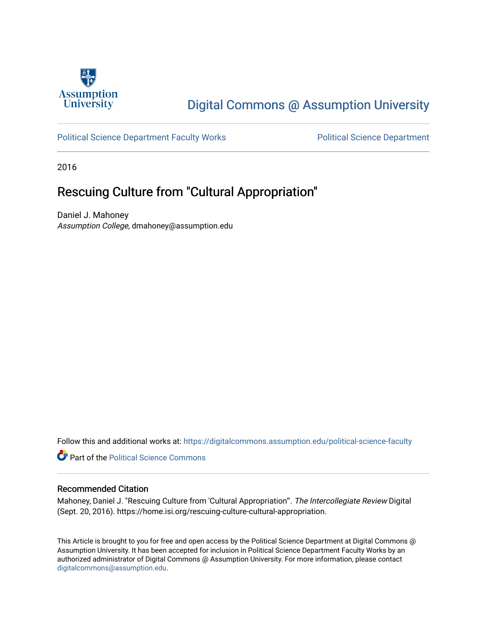

# [Digital Commons @ Assumption University](https://digitalcommons.assumption.edu/)

### [Political Science Department Faculty Works](https://digitalcommons.assumption.edu/political-science-faculty) **Political Science Department**

2016

## Rescuing Culture from "Cultural Appropriation"

Daniel J. Mahoney Assumption College, dmahoney@assumption.edu

Follow this and additional works at: [https://digitalcommons.assumption.edu/political-science-faculty](https://digitalcommons.assumption.edu/political-science-faculty?utm_source=digitalcommons.assumption.edu%2Fpolitical-science-faculty%2F18&utm_medium=PDF&utm_campaign=PDFCoverPages)

**Part of the Political Science Commons** 

#### Recommended Citation

Mahoney, Daniel J. "Rescuing Culture from 'Cultural Appropriation'". The Intercollegiate Review Digital (Sept. 20, 2016). https://home.isi.org/rescuing-culture-cultural-appropriation.

This Article is brought to you for free and open access by the Political Science Department at Digital Commons @ Assumption University. It has been accepted for inclusion in Political Science Department Faculty Works by an authorized administrator of Digital Commons @ Assumption University. For more information, please contact [digitalcommons@assumption.edu](mailto:digitalcommons@assumption.edu).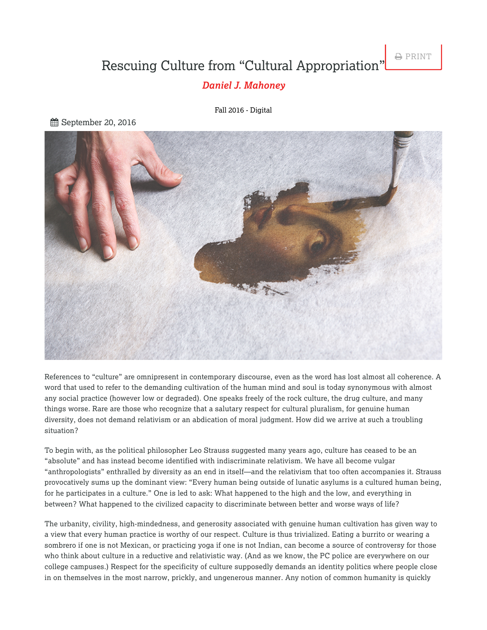# Rescuing Culture from "Cultural Appropriation"

**A** PRINT

### *[Daniel J. Mahoney](https://home.isi.org/intercollegiate-review/author/2386)*

Fall 2016 - [Digital](https://home.isi.org/journal-issue/fall-2016-digital)

September 20, 2016



References to "culture" are omnipresent in contemporary discourse, even as the word has lost almost all coherence. A word that used to refer to the demanding cultivation of the human mind and soul is today synonymous with almost any social practice (however low or degraded). One speaks freely of the rock culture, the drug culture, and many things worse. Rare are those who recognize that a salutary respect for cultural pluralism, for genuine human diversity, does not demand relativism or an abdication of moral judgment. How did we arrive at such a troubling situation?

To begin with, as the political philosopher Leo Strauss suggested many years ago, culture has ceased to be an "absolute" and has instead become identified with indiscriminate relativism. We have all become vulgar "anthropologists" enthralled by diversity as an end in itself—and the relativism that too often accompanies it. Strauss provocatively sums up the dominant view: "Every human being outside of lunatic asylums is a cultured human being, for he participates in a culture." One is led to ask: What happened to the high and the low, and everything in between? What happened to the civilized capacity to discriminate between better and worse ways of life?

The urbanity, civility, high-mindedness, and generosity associated with genuine human cultivation has given way to a view that every human practice is worthy of our respect. Culture is thus trivialized. Eating a burrito or wearing a sombrero if one is not Mexican, or practicing yoga if one is not Indian, can become a source of controversy for those who think about culture in a reductive and relativistic way. (And as we know, the PC police are everywhere on our college campuses.) Respect for the specificity of culture supposedly demands an identity politics where people close in on themselves in the most narrow, prickly, and ungenerous manner. Any notion of common humanity is quickly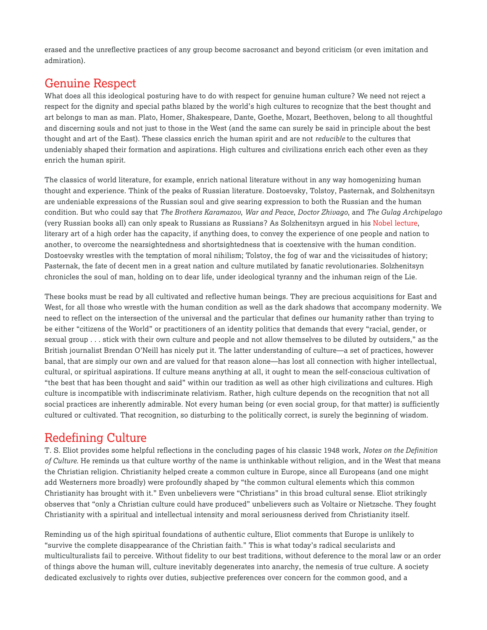erased and the unreflective practices of any group become sacrosanct and beyond criticism (or even imitation and admiration).

## Genuine Respect

What does all this ideological posturing have to do with respect for genuine human culture? We need not reject a respect for the dignity and special paths blazed by the world's high cultures to recognize that the best thought and art belongs to man as man. Plato, Homer, Shakespeare, Dante, Goethe, Mozart, Beethoven, belong to all thoughtful and discerning souls and not just to those in the West (and the same can surely be said in principle about the best thought and art of the East). These classics enrich the human spirit and are not *reducible* to the cultures that undeniably shaped their formation and aspirations. High cultures and civilizations enrich each other even as they enrich the human spirit.

The classics of world literature, for example, enrich national literature without in any way homogenizing human thought and experience. Think of the peaks of Russian literature. Dostoevsky, Tolstoy, Pasternak, and Solzhenitsyn are undeniable expressions of the Russian soul and give searing expression to both the Russian and the human condition. But who could say that *The Brothers Karamazov*, *War and Peace*, *Doctor Zhivago*, and *The Gulag Archipelago* (very Russian books all) can only speak to Russians as Russians? As Solzhenitsyn argued in his Nobel [lecture](http://amzn.to/2cjPn8R), literary art of a high order has the capacity, if anything does, to convey the experience of one people and nation to another, to overcome the nearsightedness and shortsightedness that is coextensive with the human condition. Dostoevsky wrestles with the temptation of moral nihilism; Tolstoy, the fog of war and the vicissitudes of history; Pasternak, the fate of decent men in a great nation and culture mutilated by fanatic revolutionaries. Solzhenitsyn chronicles the soul of man, holding on to dear life, under ideological tyranny and the inhuman reign of the Lie.

These books must be read by all cultivated and reflective human beings. They are precious acquisitions for East and West, for all those who wrestle with the human condition as well as the dark shadows that accompany modernity. We need to reflect on the intersection of the universal and the particular that defines our humanity rather than trying to be either "citizens of the World" or practitioners of an identity politics that demands that every "racial, gender, or sexual group . . . stick with their own culture and people and not allow themselves to be diluted by outsiders," as the British journalist Brendan O'Neill has nicely put it. The latter understanding of culture—a set of practices, however banal, that are simply our own and are valued for that reason alone—has lost all connection with higher intellectual, cultural, or spiritual aspirations. If culture means anything at all, it ought to mean the self-conscious cultivation of "the best that has been thought and said" within our tradition as well as other high civilizations and cultures. High culture is incompatible with indiscriminate relativism. Rather, high culture depends on the recognition that not all social practices are inherently admirable. Not every human being (or even social group, for that matter) is sufficiently cultured or cultivated. That recognition, so disturbing to the politically correct, is surely the beginning of wisdom.

## Redefining Culture

T. S. Eliot provides some helpful reflections in the concluding pages of his classic 1948 work, *Notes on the Definition of Culture*. He reminds us that culture worthy of the name is unthinkable without religion, and in the West that means the Christian religion. Christianity helped create a common culture in Europe, since all Europeans (and one might add Westerners more broadly) were profoundly shaped by "the common cultural elements which this common Christianity has brought with it." Even unbelievers were "Christians" in this broad cultural sense. Eliot strikingly observes that "only a Christian culture could have produced" unbelievers such as Voltaire or Nietzsche. They fought Christianity with a spiritual and intellectual intensity and moral seriousness derived from Christianity itself.

Reminding us of the high spiritual foundations of authentic culture, Eliot comments that Europe is unlikely to "survive the complete disappearance of the Christian faith." This is what today's radical secularists and multiculturalists fail to perceive. Without fidelity to our best traditions, without deference to the moral law or an order of things above the human will, culture inevitably degenerates into anarchy, the nemesis of true culture. A society dedicated exclusively to rights over duties, subjective preferences over concern for the common good, and a